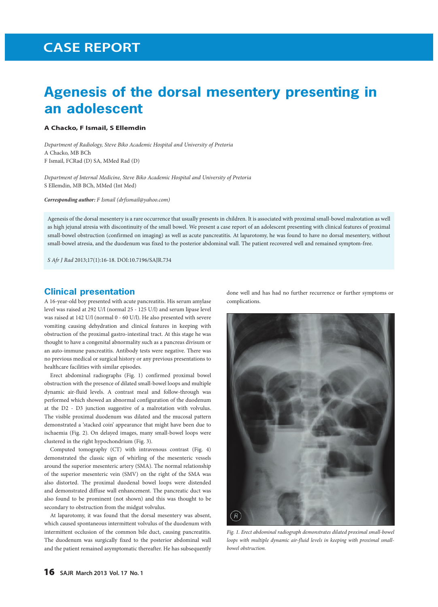# **CASE REPORT CASE REPORT**

## **Agenesis of the dorsal mesentery presenting in an adolescent**

#### **A Chacko, F Ismail, S Ellemdin**

*Department of Radiology, Steve Biko Academic Hospital and University of Pretoria* A Chacko, MB BCh F Ismail, FCRad (D) SA, MMed Rad (D)

*Department of Internal Medicine, Steve Biko Academic Hospital and University of Pretoria* S Ellemdin, MB BCh, MMed (Int Med)

*Corresponding author: F Ismail (drfismail@yahoo.com)*

Agenesis of the dorsal mesentery is a rare occurrence that usually presents in children. It is associated with proximal small-bowel malrotation as well as high jejunal atresia with discontinuity of the small bowel. We present a case report of an adolescent presenting with clinical features of proximal small-bowel obstruction (confirmed on imaging) as well as acute pancreatitis. At laparotomy, he was found to have no dorsal mesentery, without small-bowel atresia, and the duodenum was fixed to the posterior abdominal wall. The patient recovered well and remained symptom-free.

*S Afr J Rad* 2013;17(1):16-18. DOI:10.7196/SAJR.734

#### **Clinical presentation**

A 16-year-old boy presented with acute pancreatitis. His serum amylase level was raised at 292 U/l (normal 25 - 125 U/l) and serum lipase level was raised at 142 U/l (normal 0 - 60 U/l). He also presented with severe vomiting causing dehydration and clinical features in keeping with obstruction of the proximal gastro-intestinal tract. At this stage he was thought to have a congenital abnormality such as a pancreas divisum or an auto-immune pancreatitis. Antibody tests were negative. There was no previous medical or surgical history or any previous presentations to healthcare facilities with similar episodes.

Erect abdominal radiographs (Fig. 1) confirmed proximal bowel obstruction with the presence of dilated small-bowel loops and multiple dynamic air-fluid levels. A contrast meal and follow-through was performed which showed an abnormal configuration of the duodenum at the D2 - D3 junction suggestive of a malrotation with volvulus. The visible proximal duodenum was dilated and the mucosal pattern demonstrated a 'stacked coin' appearance that might have been due to ischaemia (Fig. 2). On delayed images, many small-bowel loops were clustered in the right hypochondrium (Fig. 3).

Computed tomography (CT) with intravenous contrast (Fig. 4) demonstrated the classic sign of whirling of the mesenteric vessels around the superior mesenteric artery (SMA). The normal relationship of the superior mesenteric vein (SMV) on the right of the SMA was also distorted. The proximal duodenal bowel loops were distended and demonstrated diffuse wall enhancement. The pancreatic duct was also found to be prominent (not shown) and this was thought to be secondary to obstruction from the midgut volvulus.

At laparotomy, it was found that the dorsal mesentery was absent, which caused spontaneous intermittent volvulus of the duodenum with intermittent occlusion of the common bile duct, causing pancreatitis. The duodenum was surgically fixed to the posterior abdominal wall and the patient remained asymptomatic thereafter. He has subsequently done well and has had no further recurrence or further symptoms or complications.



Fig. 1. Erect abdominal radiograph demonstrates dilated proximal small-bowel *loops with multiple dynamic air-fluid levels in keeping with proximal smallbowel obstruction.*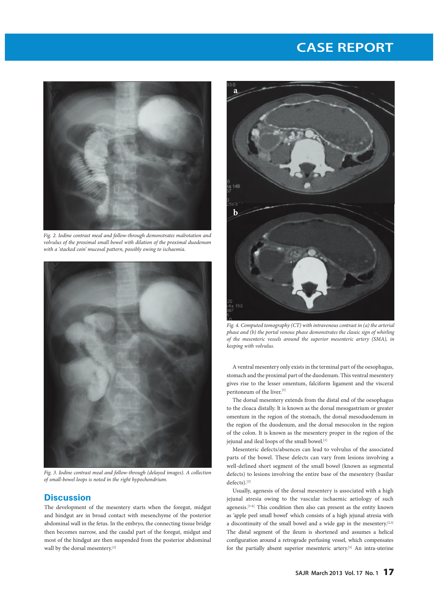# **CASE REPORT CASE REPORT**



*Fig. 2. Iodine contrast meal and follow-through demonstrates malrotation and volvulus of the proximal small bowel with dilation of the proximal duodenum with a 'stacked coin' mucosal pattern, possibly owing to ischaemia.*



*Fig. 3. Iodine contrast meal and follow-through (delayed images). A collection of small-bowel loops is noted in the right hypochondrium.*

### **Discussion**

The development of the mesentery starts when the foregut, midgut and hindgut are in broad contact with mesenchyme of the posterior abdominal wall in the fetus. In the embryo, the connecting tissue bridge then becomes narrow, and the caudal part of the foregut, midgut and most of the hindgut are then suspended from the posterior abdominal wall by the dorsal mesentery.<sup>[1]</sup>



*Fig. 4. Computed tomography (CT) with intravenous contrast in (a) the arterial phase and (b) the portal venous phase demonstrates the classic sign of whirling of the mesenteric vessels around the superior mesenteric artery (SMA), in keeping with volvulus.*

A ventral mesentery only exists in the terminal part of the oesophagus, stomach and the proximal part of the duodenum. This ventral mesentery gives rise to the lesser omentum, falciform ligament and the visceral peritoneum of the liver. $^{\left[1\right]}$ 

The dorsal mesentery extends from the distal end of the oesophagus to the cloaca distally. It is known as the dorsal mesogastrium or greater omentum in the region of the stomach, the dorsal mesoduodenum in the region of the duodenum, and the dorsal mesocolon in the region of the colon. It is known as the mesentery proper in the region of the jejunal and ileal loops of the small bowel.<sup>[1]</sup>

Mesenteric defects/absences can lead to volvulus of the associated parts of the bowel. These defects can vary from lesions involving a well-defined short segment of the small bowel (known as segmental defects) to lesions involving the entire base of the mesentery (basilar  $\rm{defects}).^{[2]}$ 

Usually, agenesis of the dorsal mesentery is associated with a high jejunal atresia owing to the vascular ischaemic aetiology of such agenesis.<sup>[3-6]</sup> This condition then also can present as the entity known as 'apple peel small bowel' which consists of a high jejunal atresia with a discontinuity of the small bowel and a wide gap in the mesentery.[2,3] The distal segment of the ileum is shortened and assumes a helical configuration around a retrograde perfusing vessel, which compensates for the partially absent superior mesenteric artery.[3] An intra-uterine